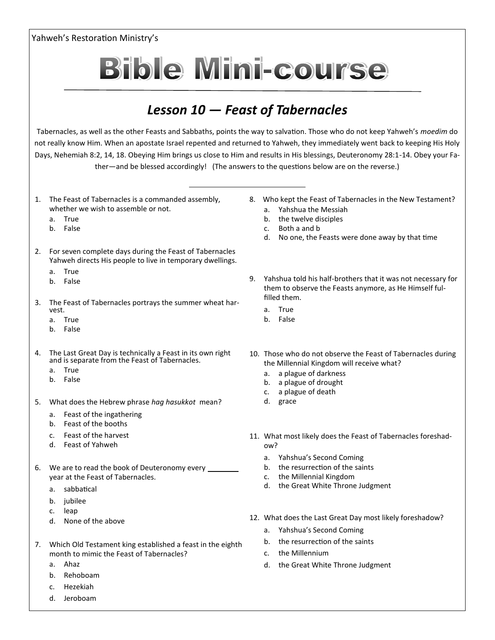## Yahweh's Restoration Ministry's

## **Bible Mini-course**

## *Lesson 10 — Feast of Tabernacles*

Tabernacles, as well as the other Feasts and Sabbaths, points the way to salvation. Those who do not keep Yahweh's *moedim* do not really know Him. When an apostate Israel repented and returned to Yahweh, they immediately went back to keeping His Holy Days, Nehemiah 8:2, 14, 18. Obeying Him brings us close to Him and results in His blessings, Deuteronomy 28:1-14. Obey your Father—and be blessed accordingly! (The answers to the questions below are on the reverse.)

- 1. The Feast of Tabernacles is a commanded assembly, whether we wish to assemble or not.
	- a. True
	- b. False
- 2. For seven complete days during the Feast of Tabernacles Yahweh directs His people to live in temporary dwellings.
	- a. True
	- b. False
- 3. The Feast of Tabernacles portrays the summer wheat harvest.
	- a. True
	- b. False
- 4. The Last Great Day is technically a Feast in its own right and is separate from the Feast of Tabernacles.
	- a. True
	- b. False
- 5. What does the Hebrew phrase *hag hasukkot* mean?
	- a. Feast of the ingathering
	- b. Feast of the booths
	- c. Feast of the harvest
	- d. Feast of Yahweh
- 6. We are to read the book of Deuteronomy every year at the Feast of Tabernacles.
	- a. sabbatical
	- b. *jubilee*
	- c. leap
	- d. None of the above
- 7. Which Old Testament king established a feast in the eighth month to mimic the Feast of Tabernacles?
	- a. Ahaz
	- b. Rehoboam
	- c. Hezekiah
	- d. Jeroboam
- 8. Who kept the Feast of Tabernacles in the New Testament?
	- a. Yahshua the Messiah
	- b. the twelve disciples
	- c. Both a and b
	- d. No one, the Feasts were done away by that time
- 9. Yahshua told his half-brothers that it was not necessary for them to observe the Feasts anymore, as He Himself fulfilled them.
	- a. True
	- b. False
- 10. Those who do not observe the Feast of Tabernacles during the Millennial Kingdom will receive what?
	- a. a plague of darkness
	- b. a plague of drought
	- c. a plague of death
	- d. grace
- 11. What most likely does the Feast of Tabernacles foreshadow?
	- a. Yahshua's Second Coming
	- b. the resurrection of the saints
	- c. the Millennial Kingdom
	- d. the Great White Throne Judgment
- 12. What does the Last Great Day most likely foreshadow?
	- a. Yahshua's Second Coming
	- b. the resurrection of the saints
	- c. the Millennium
	- d. the Great White Throne Judgment